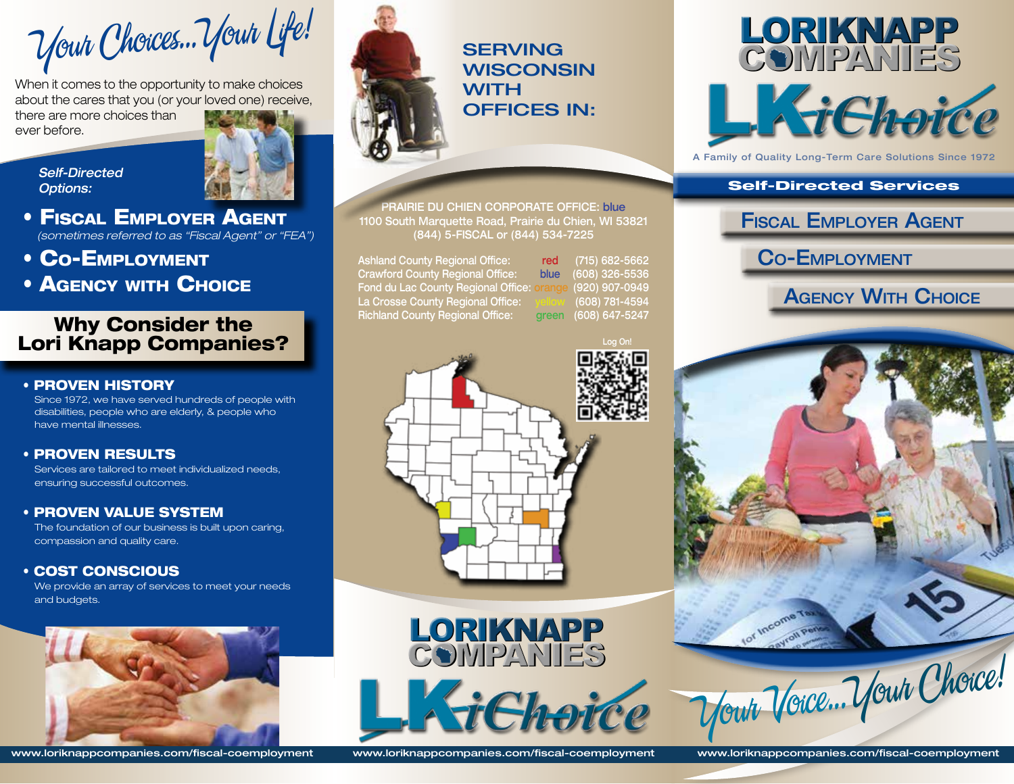Your Choices...Your Life!

When it comes to the opportunity to make choices about the cares that you (or your loved one) receive,

there are more choices than ever before.

*Self-Directed Options:*



- Fiscal Employer Agent  *(sometimes referred to as "Fiscal Agent" or "FEA")*
- Co-Employment
- Agency with Choice

# Why Consider the Lori Knapp Companies?

### • PROVEN HISTORY

Since 1972, we have served hundreds of people with disabilities, people who are elderly, & people who have mental illnesses.

# • PROVEN RESULTS

Services are tailored to meet individualized needs, ensuring successful outcomes.

### • PROVEN VALUE SYSTEM

The foundation of our business is built upon caring, compassion and quality care.

# • COST CONSCIOUS

We provide an array of services to meet your needs and budgets.





**SERVING WISCONSIN WITH** OFFICES IN:

PRAIRIE DU CHIEN CORPORATE OFFICE: blue 1100 South Marquette Road, Prairie du Chien, WI 53821 (844) 5-FISCAL or (844) 534-7225

Ashland County Regional Office: red (715) 682-5662 Crawford County Regional Office: blue (608) 326-5536 Fond du Lac County Regional Office: orange (920) 907-0949 La Crosse County Regional Office: yellow (608) 781-4594 Richland County Regional Office: green (608) 647-5247





A Family of Quality Long-Term Care Solutions Since 1972

## Self-Directed Services

Fiscal Employer Agent

Co-Employment

Agency With Choice